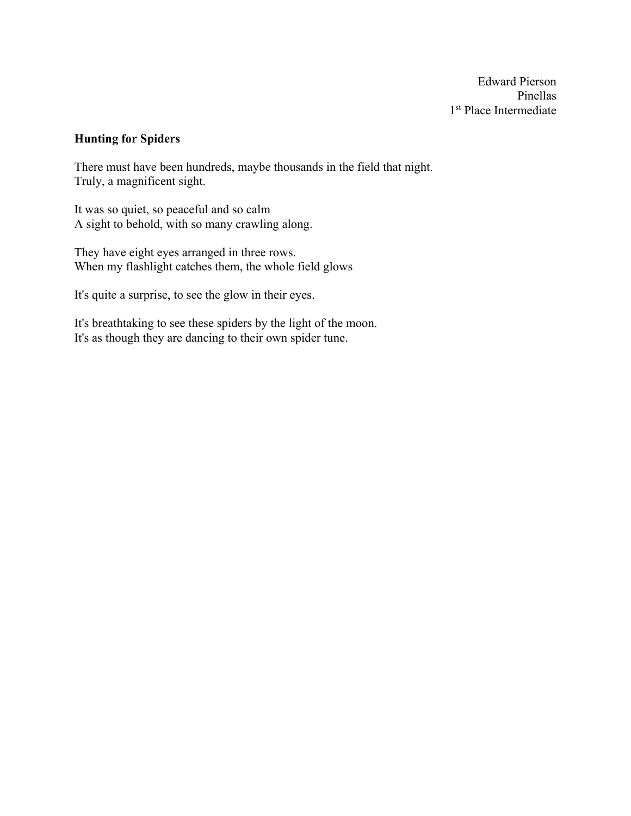Edward Pierson Pinellas 1<sup>st</sup> Place Intermediate

## **Hunting for Spiders**

There must have been hundreds, maybe thousands in the field that night. Truly, a magnificent sight.

It was so quiet, so peaceful and so calm A sight to behold, with so many crawling along.

They have eight eyes arranged in three rows. When my flashlight catches them, the whole field glows

It's quite a surprise, to see the glow in their eyes.

It's breathtaking to see these spiders by the light of the moon. It's as though they are dancing to their own spider tune.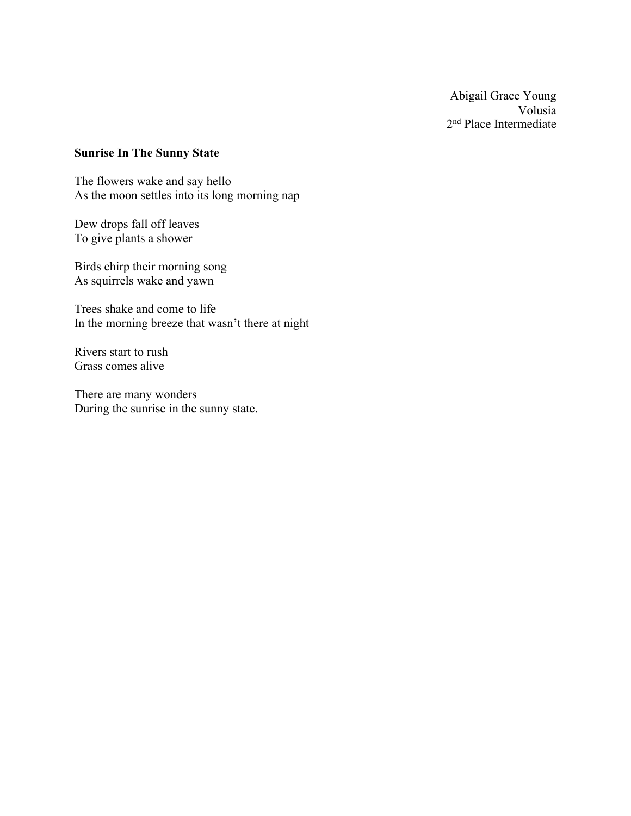Abigail Grace Young Volusia 2nd Place Intermediate

## **Sunrise In The Sunny State**

The flowers wake and say hello As the moon settles into its long morning nap

Dew drops fall off leaves To give plants a shower

Birds chirp their morning song As squirrels wake and yawn

Trees shake and come to life In the morning breeze that wasn't there at night

Rivers start to rush Grass comes alive

There are many wonders During the sunrise in the sunny state.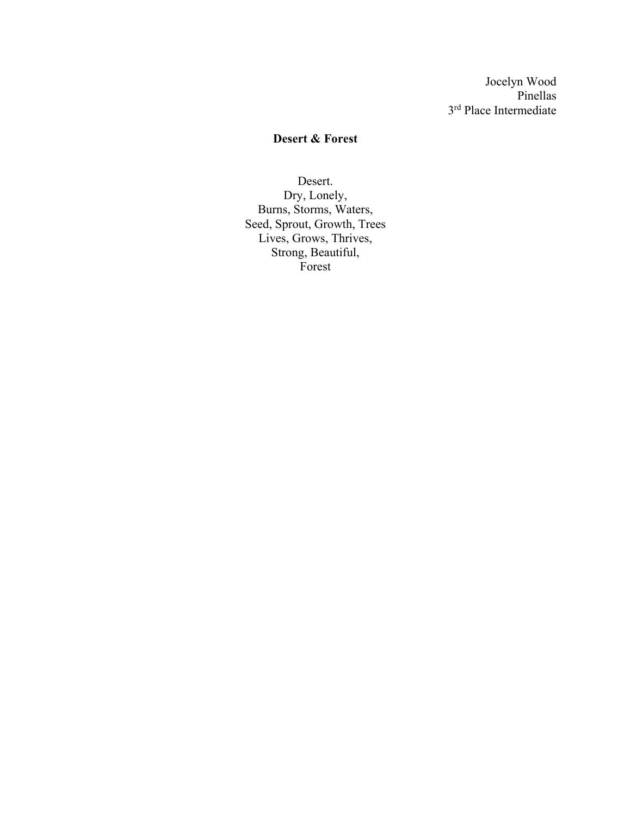Jocelyn Wood Pinellas 3rd Place Intermediate

## **Desert & Forest**

Desert. Dry, Lonely, Burns, Storms, Waters, Seed, Sprout, Growth, Trees Lives, Grows, Thrives, Strong, Beautiful, Forest